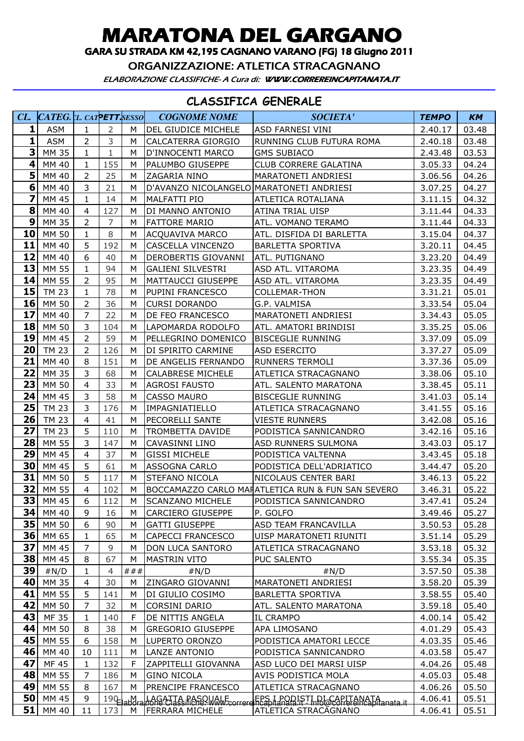## MARATONA DEL GARGANO

GARA SU STRADA KM 42,195 CAGNANO VARANO (FG) 18 Giugno 2011

ORGANIZZAZIONE: ATLETICA STRACAGNANO

ELABORAZIONE CLASSIFICHE- A Cura di: WWW.CORREREINCAPITANATA.IT

## CLASSIFICA GENERALE

| CL                      | CATEG. L. CATPETT.SESSO |                |                |              | <b>COGNOME NOME</b>                      | <b>SOCIETA'</b>                                                                                                               | <b>TEMPO</b> | <b>KM</b> |
|-------------------------|-------------------------|----------------|----------------|--------------|------------------------------------------|-------------------------------------------------------------------------------------------------------------------------------|--------------|-----------|
| 1                       | <b>ASM</b>              | 1              | $\overline{2}$ | м            | DEL GIUDICE MICHELE                      | ASD FARNESI VINI                                                                                                              | 2.40.17      | 03.48     |
| 1                       | <b>ASM</b>              | $\overline{2}$ | 3              | М            | CALCATERRA GIORGIO                       | RUNNING CLUB FUTURA ROMA                                                                                                      | 2.40.18      | 03.48     |
| $\overline{\mathbf{3}}$ | <b>MM 35</b>            | $\mathbf{1}$   | $\mathbf{1}$   | M            | D'INNOCENTI MARCO                        | <b>GMS SUBIACO</b>                                                                                                            | 2.43.48      | 03.53     |
| $\overline{\mathbf{4}}$ | MM 40                   | 1              | 155            | М            | <b>PALUMBO GIUSEPPE</b>                  | CLUB CORRERE GALATINA                                                                                                         | 3.05.33      | 04.24     |
| 5                       | MM 40                   | $\overline{2}$ | 25             | M            | <b>ZAGARIA NINO</b>                      | MARATONETI ANDRIESI                                                                                                           | 3.06.56      | 04.26     |
| $6\phantom{1}6$         | MM 40                   | 3              | 21             | м            | D'AVANZO NICOLANGELO MARATONETI ANDRIESI |                                                                                                                               | 3.07.25      | 04.27     |
| $\overline{\mathbf{z}}$ | MM 45                   | 1              | 14             | М            | MALFATTI PIO                             | <b>ATLETICA ROTALIANA</b>                                                                                                     | 3.11.15      | 04.32     |
| 8                       | MM 40                   | 4              | 127            | M            | DI MANNO ANTONIO                         | <b>ATINA TRIAL UISP</b>                                                                                                       | 3.11.44      | 04.33     |
| 9                       | MM 35                   | 2              | $\overline{7}$ | М            | <b>FATTORE MARIO</b>                     | ATL. VOMANO TERAMO                                                                                                            | 3.11.44      | 04.33     |
| 10                      | MM 50                   | 1              | 8              | M            | <b>ACQUAVIVA MARCO</b>                   | ATL. DISFIDA DI BARLETTA                                                                                                      | 3.15.04      | 04.37     |
| 11                      | MM 40                   | 5              | 192            | M            | CASCELLA VINCENZO                        | <b>BARLETTA SPORTIVA</b>                                                                                                      | 3.20.11      | 04.45     |
| 12                      | MM 40                   | 6              | 40             | М            | DEROBERTIS GIOVANNI                      | ATL. PUTIGNANO                                                                                                                | 3.23.20      | 04.49     |
| 13                      | MM 55                   | $\mathbf{1}$   | 94             | M            | <b>GALIENI SILVESTRI</b>                 | ASD ATL. VITAROMA                                                                                                             | 3.23.35      | 04.49     |
| 14                      | MM 55                   | $\overline{2}$ | 95             | М            | <b>MATTAUCCI GIUSEPPE</b>                | ASD ATL. VITAROMA                                                                                                             | 3.23.35      | 04.49     |
| 15                      | <b>TM 23</b>            | $\mathbf{1}$   | 78             | M            | PUPINI FRANCESCO                         | <b>COLLEMAR-THON</b>                                                                                                          | 3.31.21      | 05.01     |
| 16                      | MM 50                   | $\overline{2}$ | 36             | M            | <b>CURSI DORANDO</b>                     | G.P. VALMISA                                                                                                                  | 3.33.54      | 05.04     |
| 17                      | MM 40                   | $\overline{7}$ | 22             | M            | DE FEO FRANCESCO                         | MARATONETI ANDRIESI                                                                                                           | 3.34.43      | 05.05     |
| 18                      | MM 50                   | 3              | 104            | M            | LAPOMARDA RODOLFO                        | ATL. AMATORI BRINDISI                                                                                                         | 3.35.25      | 05.06     |
| 19                      | MM 45                   | 2              | 59             | M            | PELLEGRINO DOMENICO                      | <b>BISCEGLIE RUNNING</b>                                                                                                      | 3.37.09      | 05.09     |
| 20                      | <b>TM 23</b>            | $\overline{2}$ | 126            | M            | DI SPIRITO CARMINE                       | ASD ESERCITO                                                                                                                  | 3.37.27      | 05.09     |
| 21                      | MM 40                   | 8              | 151            | M            | DE ANGELIS FERNANDO                      | <b>RUNNERS TERMOLI</b>                                                                                                        | 3.37.36      | 05.09     |
| 22                      | MM 35                   | 3              | 68             | М            | <b>CALABRESE MICHELE</b>                 | ATLETICA STRACAGNANO                                                                                                          | 3.38.06      | 05.10     |
| 23                      | MM 50                   | 4              | 33             | M            | <b>AGROSI FAUSTO</b>                     | ATL. SALENTO MARATONA                                                                                                         | 3.38.45      | 05.11     |
| 24                      | MM 45                   | 3              | 58             | M            | CASSO MAURO                              | <b>BISCEGLIE RUNNING</b>                                                                                                      | 3.41.03      | 05.14     |
| 25                      | <b>TM 23</b>            | 3              | 176            | M            | IMPAGNIATIELLO                           | ATLETICA STRACAGNANO                                                                                                          | 3.41.55      | 05.16     |
| 26                      | <b>TM 23</b>            | 4              | 41             | M            | <b>PECORELLI SANTE</b>                   | <b>VIESTE RUNNERS</b>                                                                                                         | 3.42.08      | 05.16     |
| 27                      | <b>TM 23</b>            | 5              | 110            | М            | <b>TROMBETTA DAVIDE</b>                  | PODISTICA SANNICANDRO                                                                                                         | 3.42.16      | 05.16     |
| 28                      | MM 55                   | 3              | 147            | M            | CAVASINNI LINO                           | ASD RUNNERS SULMONA                                                                                                           | 3.43.03      | 05.17     |
| 29                      | MM 45                   | $\overline{4}$ | 37             | M            | <b>GISSI MICHELE</b>                     | PODISTICA VALTENNA                                                                                                            | 3.43.45      | 05.18     |
| 30                      | MM 45                   | 5              | 61             | M            | <b>ASSOGNA CARLO</b>                     | PODISTICA DELL'ADRIATICO                                                                                                      | 3.44.47      | 05.20     |
| 31                      | MM 50                   | 5              | 117            | м            | <b>STEFANO NICOLA</b>                    | NICOLAUS CENTER BARI                                                                                                          | 3.46.13      | 05.22     |
| 32                      | MM 55                   | $\overline{4}$ | 102            | M            |                                          | BOCCAMAZZO CARLO MAFATLETICA RUN & FUN SAN SEVERO                                                                             | 3.46.31      | 05.22     |
|                         | $33$ MM 45              | 6 <sup>1</sup> | 112            | M            | <b>SCANZANO MICHELE</b>                  | PODISTICA SANNICANDRO                                                                                                         | 3.47.41      | 05.24     |
|                         | 34 MM 40                | 9              | 16             | м            | <b>CARCIERO GIUSEPPE</b>                 | P. GOLFO                                                                                                                      | 3.49.46      | 05.27     |
| 35                      | MM 50                   | 6              | 90             | м            | <b>GATTI GIUSEPPE</b>                    | ASD TEAM FRANCAVILLA                                                                                                          | 3.50.53      | 05.28     |
| 36                      | MM 65                   | 1              | 65             | м            | CAPECCI FRANCESCO                        | UISP MARATONETI RIUNITI                                                                                                       | 3.51.14      | 05.29     |
| 37                      | MM 45                   | $\overline{7}$ | $\overline{9}$ | М            | <b>DON LUCA SANTORO</b>                  | ATLETICA STRACAGNANO                                                                                                          | 3.53.18      | 05.32     |
| 38                      | MM 45                   | 8              | 67             | м            | <b>MASTRIN VITO</b>                      | <b>PUC SALENTO</b>                                                                                                            | 3.55.34      | 05.35     |
| 39                      | #N/D                    | 1              | $\overline{4}$ | ###          | #N/D                                     | #N/D                                                                                                                          | 3.57.50      | 05.38     |
| 40                      | MM 35                   | 4              | 30             | M            | ZINGARO GIOVANNI                         | MARATONETI ANDRIESI                                                                                                           | 3.58.20      | 05.39     |
| 41                      | MM 55                   | 5              | 141            | м            | DI GIULIO COSIMO                         | <b>BARLETTA SPORTIVA</b>                                                                                                      | 3.58.55      | 05.40     |
| 42                      | MM 50                   | 7              | 32             | М            | <b>CORSINI DARIO</b>                     | ATL. SALENTO MARATONA                                                                                                         | 3.59.18      | 05.40     |
| 43                      | MF 35                   | 1              | 140            | F.           | DE NITTIS ANGELA                         | IL CRAMPO                                                                                                                     | 4.00.14      | 05.42     |
| 44                      | MM 50                   | 8              | 38             | М            | <b>GREGORIO GIUSEPPE</b>                 | APA LIMOSANO                                                                                                                  | 4.01.29      | 05.43     |
| 45                      | MM 55                   | 6              | 158            | м            | LUPERTO ORONZO                           | PODISTICA AMATORI LECCE                                                                                                       | 4.03.35      | 05.46     |
| 46                      | MM 40                   | 10             | 111            | м            | LANZE ANTONIO                            | PODISTICA SANNICANDRO                                                                                                         | 4.03.58      | 05.47     |
| 47                      | MF 45                   | 1              | 132            | F            | ZAPPITELLI GIOVANNA                      | ASD LUCO DEI MARSI UISP                                                                                                       | 4.04.26      | 05.48     |
| 48                      | MM 55                   | $\overline{7}$ | 186            | M            | <b>GINO NICOLA</b>                       | AVIS PODISTICA MOLA                                                                                                           | 4.05.03      | 05.48     |
| 49                      | MM 55                   | 8              | 167            | M            | <b>PRENCIPE FRANCESCO</b>                | ATLETICA STRACAGNANO                                                                                                          | 4.06.26      | 05.50     |
| 50                      | MM 45                   | 9              |                | $190$ Lahdra |                                          | LAGATTA PASQUALE (EPS I PODISTI DI CAPITANATA)<br>Liona Classifiche Www.correrelhcapitanata.it - infolocorrefelhcapitanata.it | 4.06.41      | 05.51     |
| 51                      | MM 40                   | 11             | 173            | M            | FERRARA MICHELE                          | ATLETICA STRACAGNANO                                                                                                          | 4.06.41      | 05.51     |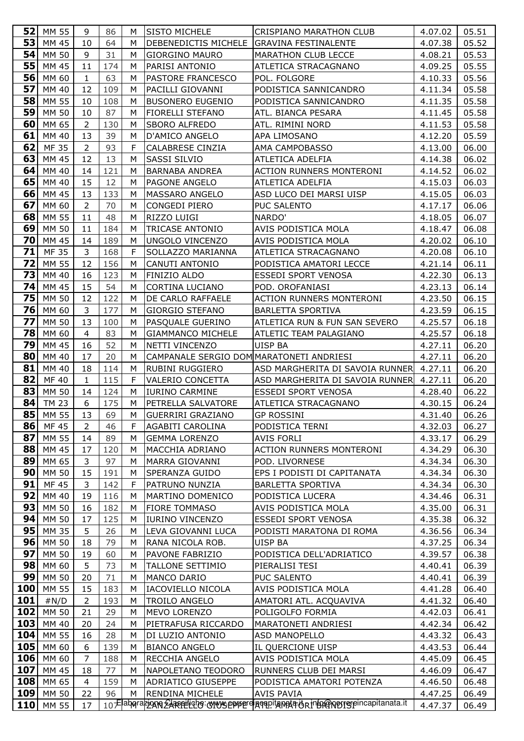| 52       | MM 55          | 9              | 86         | м      | <b>SISTO MICHELE</b>                         | CRISPIANO MARATHON CLUB                                                               | 4.07.02            | 05.51          |
|----------|----------------|----------------|------------|--------|----------------------------------------------|---------------------------------------------------------------------------------------|--------------------|----------------|
| 53       | MM 45          | 10             | 64         | M      | DEBENEDICTIS MICHELE GRAVINA FESTINALENTE    |                                                                                       | 4.07.38            | 05.52          |
| 54       | MM 50          | 9              | 31         | M      | <b>GIORGINO MAURO</b>                        | <b>MARATHON CLUB LECCE</b>                                                            | 4.08.21            | 05.53          |
| 55       | MM 45          | 11             | 174        | M      | PARISI ANTONIO                               | ATLETICA STRACAGNANO                                                                  | 4.09.25            | 05.55          |
| 56       | MM 60          | $\mathbf{1}$   | 63         | M      | <b>PASTORE FRANCESCO</b>                     | POL. FOLGORE                                                                          | 4.10.33            | 05.56          |
| 57       | MM 40          | 12             | 109        | м      | PACILLI GIOVANNI                             | PODISTICA SANNICANDRO                                                                 | 4.11.34            | 05.58          |
| 58       | MM 55          | 10             | 108        | M      | BUSONERO EUGENIO                             | PODISTICA SANNICANDRO                                                                 | 4.11.35            | 05.58          |
| 59       | MM 50          | 10             | 87         | М      | <b>FIORELLI STEFANO</b>                      | ATL. BIANCA PESARA                                                                    | 4.11.45            | 05.58          |
| 60       | MM 65          | $\overline{2}$ | 130        | M      | <b>SBORO ALFREDO</b>                         | ATL. RIMINI NORD                                                                      | 4.11.53            | 05.58          |
| 61       | MM 40          | 13             | 39         | M      | D'AMICO ANGELO                               | APA LIMOSANO                                                                          | 4.12.20            | 05.59          |
| 62       | <b>MF35</b>    | $\overline{2}$ | 93         | F      | CALABRESE CINZIA                             | AMA CAMPOBASSO                                                                        | 4.13.00            | 06.00          |
| 63       | MM 45          | 12             | 13         | M      | SASSI SILVIO                                 | ATLETICA ADELFIA                                                                      | 4.14.38            | 06.02          |
| 64       | MM 40          | 14             | 121        | M      | <b>BARNABA ANDREA</b>                        | <b>ACTION RUNNERS MONTERONI</b>                                                       | 4.14.52            | 06.02          |
| 65       | MM 40          | 15             | 12         | M      | <b>PAGONE ANGELO</b>                         | ATLETICA ADELFIA                                                                      | 4.15.03            | 06.03          |
| 66       | MM 45          | 13             | 133        | М      | MASSARO ANGELO                               | ASD LUCO DEI MARSI UISP                                                               | 4.15.05            | 06.03          |
| 67       | MM 60          | $\overline{2}$ | 70         | м      | <b>CONGEDI PIERO</b>                         | PUC SALENTO                                                                           | 4.17.17            | 06.06          |
| 68       | MM 55          | 11             | 48         | М      | RIZZO LUIGI                                  | NARDO'                                                                                | 4.18.05            | 06.07          |
| 69       | MM 50          | 11             | 184        | М      | <b>TRICASE ANTONIO</b>                       | AVIS PODISTICA MOLA                                                                   | 4.18.47            | 06.08          |
| 70       | MM 45          | 14             | 189        | M      | UNGOLO VINCENZO                              | AVIS PODISTICA MOLA                                                                   | 4.20.02            | 06.10          |
| 71       | MF 35          | 3              | 168        | F      | SOLLAZZO MARIANNA                            | ATLETICA STRACAGNANO                                                                  | 4.20.08            | 06.10          |
| 72       | MM 55          | 12             | 156        | M      | CANUTI ANTONIO                               | PODISTICA AMATORI LECCE                                                               | 4.21.14            | 06.11          |
| 73       | MM 40          | 16             | 123        | M      | <b>FINIZIO ALDO</b>                          | <b>ESSEDI SPORT VENOSA</b>                                                            | 4.22.30            | 06.13          |
| 74       | MM 45          | 15             | 54         | М      | <b>CORTINA LUCIANO</b>                       | POD. OROFANIASI                                                                       | 4.23.13            | 06.14          |
| 75       | MM 50          | 12             | 122        | M      | DE CARLO RAFFAELE                            | <b>ACTION RUNNERS MONTERONI</b>                                                       | 4.23.50            | 06.15          |
| 76       | MM 60          | 3              | 177        | M      | <b>GIORGIO STEFANO</b>                       | <b>BARLETTA SPORTIVA</b>                                                              | 4.23.59            | 06.15          |
| 77       | MM 50          | 13             | 100        | м      | PASQUALE GUERINO                             | ATLETICA RUN & FUN SAN SEVERO                                                         | 4.25.57            | 06.18          |
| 78       | MM 60          | $\overline{4}$ | 83         | M      | <b>GIAMMANCO MICHELE</b>                     | ATLETIC TEAM PALAGIANO                                                                | 4.25.57            | 06.18          |
| 79       | MM 45          | 16             | 52         | М      | NETTI VINCENZO                               | <b>UISP BA</b>                                                                        | 4.27.11            | 06.20          |
| 80       | MM 40          | 17             | 20         | м      | CAMPANALE SERGIO DOM MARATONETI ANDRIESI     |                                                                                       | 4.27.11            | 06.20          |
| 81       | MM 40          | 18             | 114        | М      | RUBINI RUGGIERO                              | ASD MARGHERITA DI SAVOIA RUNNER 4.27.11                                               |                    | 06.20          |
| 82       | MF 40          | $\mathbf{1}$   | 115        | F      | VALERIO CONCETTA                             | ASD MARGHERITA DI SAVOIA RUNNER                                                       | 4.27.11            | 06.20          |
| 83       | MM 50          | 14             | 124        | М      | <b>IURINO CARMINE</b>                        | <b>ESSEDI SPORT VENOSA</b>                                                            | 4.28.40            | 06.22          |
| 84       | <b>TM 23</b>   | 6              | 175        | М      | PETRELLA SALVATORE                           | ATLETICA STRACAGNANO                                                                  | 4.30.15            | 06.24          |
| 85       | MM 55          | 13             | 69         | M      | GUERRIRI GRAZIANO                            | <b>GP ROSSINI</b>                                                                     | 4.31.40            | 06.26          |
| 86       | MF 45          | 2              | 46         | F      | AGABITI CAROLINA                             | PODISTICA TERNI                                                                       | 4.32.03            | 06.27          |
| 87       | MM 55          | 14             | 89         | M      | <b>GEMMA LORENZO</b>                         | <b>AVIS FORLI</b>                                                                     | 4.33.17            | 06.29          |
| 88       | MM 45          | 17             | 120        | M      | MACCHIA ADRIANO                              | ACTION RUNNERS MONTERONI                                                              | 4.34.29            | 06.30          |
| 89       | MM 65          | 3              | 97         | M      | MARRA GIOVANNI                               | POD. LIVORNESE                                                                        | 4.34.34            | 06.30          |
| 90       | MM 50          | 15             | 191        | М      | SPERANZA GUIDO                               | EPS I PODISTI DI CAPITANATA                                                           | 4.34.34            | 06.30          |
| 91       | MF 45          | 3              | 142        | F      | PATRUNO NUNZIA                               | <b>BARLETTA SPORTIVA</b>                                                              | 4.34.34            | 06.30          |
| 92       | MM 40          | 19             | 116        | м      | MARTINO DOMENICO                             | PODISTICA LUCERA                                                                      | 4.34.46            | 06.31          |
| 93<br>94 | MM 50<br>MM 50 | 16             | 182<br>125 | M      | <b>FIORE TOMMASO</b>                         | AVIS PODISTICA MOLA                                                                   | 4.35.00            | 06.31          |
| 95       | MM 35          | 17<br>5        | 26         | М<br>M | <b>IURINO VINCENZO</b><br>LEVA GIOVANNI LUCA | ESSEDI SPORT VENOSA                                                                   | 4.35.38            | 06.32<br>06.34 |
| 96       | MM 50          | 18             | 79         | M      | RANA NICOLA ROB.                             | PODISTI MARATONA DI ROMA<br>UISP BA                                                   | 4.36.56<br>4.37.25 | 06.34          |
| 97       | MM 50          | 19             | 60         | м      | PAVONE FABRIZIO                              | PODISTICA DELL'ADRIATICO                                                              | 4.39.57            | 06.38          |
| 98       | MM 60          | 5              | 73         | M      | <b>TALLONE SETTIMIO</b>                      | PIERALISI TESI                                                                        | 4.40.41            | 06.39          |
| 99       | MM 50          | 20             | 71         | М      | MANCO DARIO                                  | PUC SALENTO                                                                           | 4.40.41            | 06.39          |
| 100      | MM 55          | 15             | 183        | M      | IACOVIELLO NICOLA                            | AVIS PODISTICA MOLA                                                                   | 4.41.28            | 06.40          |
| 101      | #N/D           | 2              | 193        | М      | <b>TROILO ANGELO</b>                         | AMATORI ATL. ACQUAVIVA                                                                | 4.41.32            | 06.40          |
| 102      | MM 50          | 21             | 29         | M      | MEVO LORENZO                                 | POLIGOLFO FORMIA                                                                      | 4.42.03            | 06.41          |
| 103      | MM 40          | 20             | 24         | М      | PIETRAFUSA RICCARDO                          | MARATONETI ANDRIESI                                                                   | 4.42.34            | 06.42          |
| 104      | MM 55          | 16             | 28         | M      | DI LUZIO ANTONIO                             | ASD MANOPELLO                                                                         | 4.43.32            | 06.43          |
| 105      | MM 60          | 6              | 139        | M      | <b>BIANCO ANGELO</b>                         | IL QUERCIONE UISP                                                                     | 4.43.53            | 06.44          |
| 106      | MM 60          | $\overline{7}$ | 188        | м      | RECCHIA ANGELO                               | AVIS PODISTICA MOLA                                                                   | 4.45.09            | 06.45          |
| 107      | MM 45          | 18             | 77         | м      | NAPOLETANO TEODORO                           | RUNNERS CLUB DEI MARSI                                                                | 4.46.09            | 06.47          |
| 108      | MM 65          | $\overline{4}$ | 159        | M      | ADRIATICO GIUSEPPE                           | PODISTICA AMATORI POTENZA                                                             | 4.46.50            | 06.48          |
| 109      | MM 50          | 22             | 96         | M      | <b>RENDINA MICHELE</b>                       | AVIS PAVIA                                                                            | 4.47.25            | 06.49          |
| 110      | MM 55          | 17             |            |        |                                              | 10 Faborazione EARSPILLER COMUSE PUBLICA PROTECTI ANCHE PISCOPER FILERE APPROXIMATION | 4.47.37            | 06.49          |